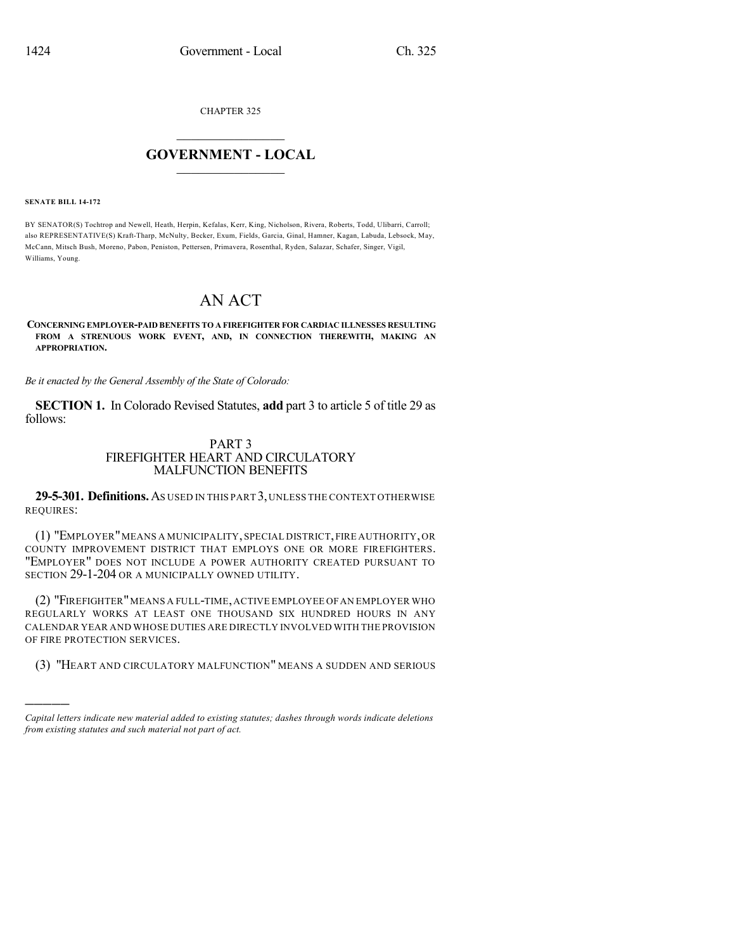CHAPTER 325

## $\mathcal{L}_\text{max}$  . The set of the set of the set of the set of the set of the set of the set of the set of the set of the set of the set of the set of the set of the set of the set of the set of the set of the set of the set **GOVERNMENT - LOCAL**  $\_$

**SENATE BILL 14-172**

)))))

BY SENATOR(S) Tochtrop and Newell, Heath, Herpin, Kefalas, Kerr, King, Nicholson, Rivera, Roberts, Todd, Ulibarri, Carroll; also REPRESENTATIVE(S) Kraft-Tharp, McNulty, Becker, Exum, Fields, Garcia, Ginal, Hamner, Kagan, Labuda, Lebsock, May, McCann, Mitsch Bush, Moreno, Pabon, Peniston, Pettersen, Primavera, Rosenthal, Ryden, Salazar, Schafer, Singer, Vigil, Williams, Young.

## AN ACT

## **CONCERNING EMPLOYER-PAID BENEFITS TO A FIREFIGHTER FOR CARDIAC ILLNESSES RESULTING FROM A STRENUOUS WORK EVENT, AND, IN CONNECTION THEREWITH, MAKING AN APPROPRIATION.**

*Be it enacted by the General Assembly of the State of Colorado:*

**SECTION 1.** In Colorado Revised Statutes, **add** part 3 to article 5 of title 29 as follows:

## PART 3 FIREFIGHTER HEART AND CIRCULATORY MALFUNCTION BENEFITS

**29-5-301. Definitions.**AS USED IN THIS PART 3,UNLESS THE CONTEXT OTHERWISE REQUIRES:

(1) "EMPLOYER"MEANS A MUNICIPALITY,SPECIAL DISTRICT,FIRE AUTHORITY,OR COUNTY IMPROVEMENT DISTRICT THAT EMPLOYS ONE OR MORE FIREFIGHTERS. "EMPLOYER" DOES NOT INCLUDE A POWER AUTHORITY CREATED PURSUANT TO SECTION 29-1-204 OR A MUNICIPALLY OWNED UTILITY.

(2) "FIREFIGHTER"MEANS A FULL-TIME,ACTIVE EMPLOYEE OFAN EMPLOYER WHO REGULARLY WORKS AT LEAST ONE THOUSAND SIX HUNDRED HOURS IN ANY CALENDAR YEAR AND WHOSE DUTIES ARE DIRECTLY INVOLVED WITH THE PROVISION OF FIRE PROTECTION SERVICES.

(3) "HEART AND CIRCULATORY MALFUNCTION" MEANS A SUDDEN AND SERIOUS

*Capital letters indicate new material added to existing statutes; dashes through words indicate deletions from existing statutes and such material not part of act.*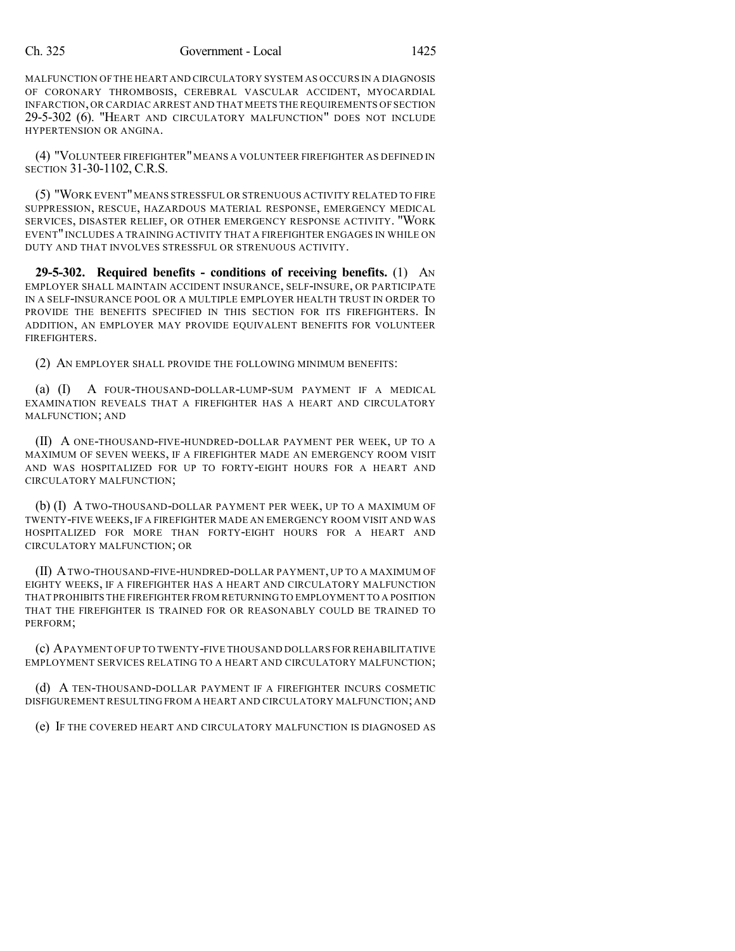MALFUNCTION OFTHE HEART AND CIRCULATORY SYSTEM AS OCCURS IN A DIAGNOSIS OF CORONARY THROMBOSIS, CEREBRAL VASCULAR ACCIDENT, MYOCARDIAL INFARCTION,OR CARDIAC ARREST AND THAT MEETS THE REQUIREMENTS OF SECTION 29-5-302 (6). "HEART AND CIRCULATORY MALFUNCTION" DOES NOT INCLUDE HYPERTENSION OR ANGINA.

(4) "VOLUNTEER FIREFIGHTER"MEANS A VOLUNTEER FIREFIGHTER AS DEFINED IN SECTION 31-30-1102, C.R.S.

(5) "WORK EVENT"MEANS STRESSFUL OR STRENUOUS ACTIVITY RELATED TO FIRE SUPPRESSION, RESCUE, HAZARDOUS MATERIAL RESPONSE, EMERGENCY MEDICAL SERVICES, DISASTER RELIEF, OR OTHER EMERGENCY RESPONSE ACTIVITY. "WORK EVENT" INCLUDES A TRAINING ACTIVITY THAT A FIREFIGHTER ENGAGES IN WHILE ON DUTY AND THAT INVOLVES STRESSFUL OR STRENUOUS ACTIVITY.

**29-5-302. Required benefits - conditions of receiving benefits.** (1) AN EMPLOYER SHALL MAINTAIN ACCIDENT INSURANCE, SELF-INSURE, OR PARTICIPATE IN A SELF-INSURANCE POOL OR A MULTIPLE EMPLOYER HEALTH TRUST IN ORDER TO PROVIDE THE BENEFITS SPECIFIED IN THIS SECTION FOR ITS FIREFIGHTERS. IN ADDITION, AN EMPLOYER MAY PROVIDE EQUIVALENT BENEFITS FOR VOLUNTEER FIREFIGHTERS.

(2) AN EMPLOYER SHALL PROVIDE THE FOLLOWING MINIMUM BENEFITS:

(a) (I) A FOUR-THOUSAND-DOLLAR-LUMP-SUM PAYMENT IF A MEDICAL EXAMINATION REVEALS THAT A FIREFIGHTER HAS A HEART AND CIRCULATORY MALFUNCTION; AND

(II) A ONE-THOUSAND-FIVE-HUNDRED-DOLLAR PAYMENT PER WEEK, UP TO A MAXIMUM OF SEVEN WEEKS, IF A FIREFIGHTER MADE AN EMERGENCY ROOM VISIT AND WAS HOSPITALIZED FOR UP TO FORTY-EIGHT HOURS FOR A HEART AND CIRCULATORY MALFUNCTION;

(b) (I) A TWO-THOUSAND-DOLLAR PAYMENT PER WEEK, UP TO A MAXIMUM OF TWENTY-FIVE WEEKS, IF A FIREFIGHTER MADE AN EMERGENCY ROOM VISIT AND WAS HOSPITALIZED FOR MORE THAN FORTY-EIGHT HOURS FOR A HEART AND CIRCULATORY MALFUNCTION; OR

(II) ATWO-THOUSAND-FIVE-HUNDRED-DOLLAR PAYMENT, UP TO A MAXIMUM OF EIGHTY WEEKS, IF A FIREFIGHTER HAS A HEART AND CIRCULATORY MALFUNCTION THAT PROHIBITS THE FIREFIGHTER FROM RETURNING TO EMPLOYMENT TO A POSITION THAT THE FIREFIGHTER IS TRAINED FOR OR REASONABLY COULD BE TRAINED TO PERFORM;

(c) APAYMENT OFUP TO TWENTY-FIVE THOUSAND DOLLARS FOR REHABILITATIVE EMPLOYMENT SERVICES RELATING TO A HEART AND CIRCULATORY MALFUNCTION;

(d) A TEN-THOUSAND-DOLLAR PAYMENT IF A FIREFIGHTER INCURS COSMETIC DISFIGUREMENT RESULTING FROM A HEART AND CIRCULATORY MALFUNCTION; AND

(e) IF THE COVERED HEART AND CIRCULATORY MALFUNCTION IS DIAGNOSED AS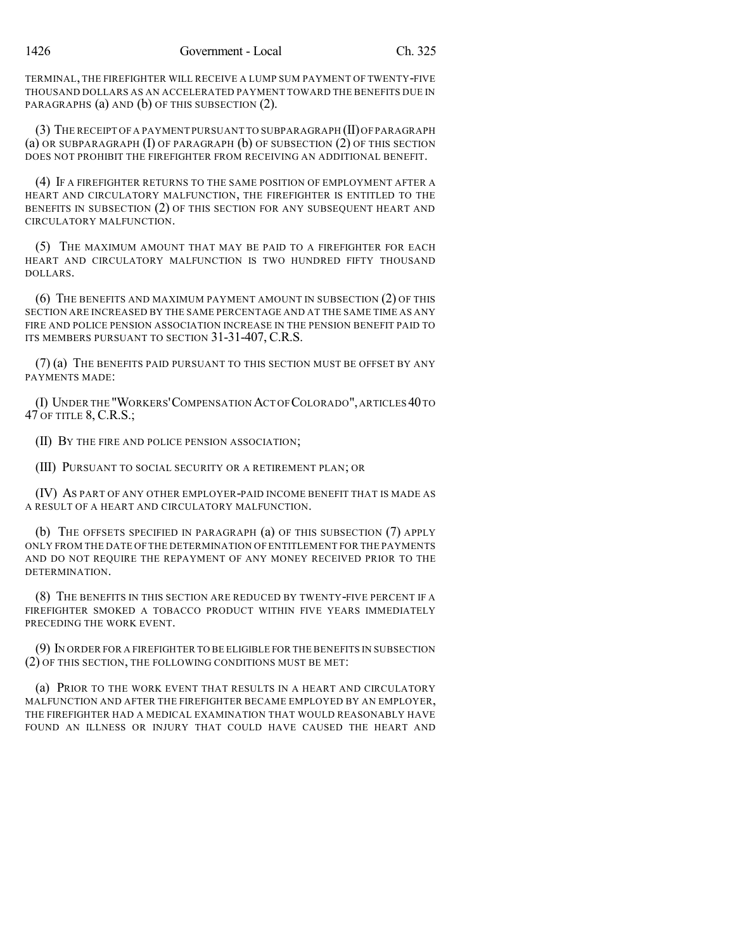TERMINAL, THE FIREFIGHTER WILL RECEIVE A LUMP SUM PAYMENT OF TWENTY-FIVE THOUSAND DOLLARS AS AN ACCELERATED PAYMENT TOWARD THE BENEFITS DUE IN PARAGRAPHS (a) AND (b) OF THIS SUBSECTION (2).

(3) THE RECEIPT OF A PAYMENT PURSUANT TO SUBPARAGRAPH (II)OF PARAGRAPH (a) OR SUBPARAGRAPH  $(I)$  OF PARAGRAPH  $(b)$  OF SUBSECTION  $(2)$  OF THIS SECTION DOES NOT PROHIBIT THE FIREFIGHTER FROM RECEIVING AN ADDITIONAL BENEFIT.

(4) IF A FIREFIGHTER RETURNS TO THE SAME POSITION OF EMPLOYMENT AFTER A HEART AND CIRCULATORY MALFUNCTION, THE FIREFIGHTER IS ENTITLED TO THE BENEFITS IN SUBSECTION (2) OF THIS SECTION FOR ANY SUBSEQUENT HEART AND CIRCULATORY MALFUNCTION.

(5) THE MAXIMUM AMOUNT THAT MAY BE PAID TO A FIREFIGHTER FOR EACH HEART AND CIRCULATORY MALFUNCTION IS TWO HUNDRED FIFTY THOUSAND DOLLARS.

(6) THE BENEFITS AND MAXIMUM PAYMENT AMOUNT IN SUBSECTION (2) OF THIS SECTION ARE INCREASED BY THE SAME PERCENTAGE AND AT THE SAME TIME AS ANY FIRE AND POLICE PENSION ASSOCIATION INCREASE IN THE PENSION BENEFIT PAID TO ITS MEMBERS PURSUANT TO SECTION 31-31-407, C.R.S.

(7) (a) THE BENEFITS PAID PURSUANT TO THIS SECTION MUST BE OFFSET BY ANY PAYMENTS MADE:

(I) UNDER THE "WORKERS'COMPENSATION ACT OF COLORADO",ARTICLES 40TO 47 OF TITLE 8, C.R.S.;

(II) BY THE FIRE AND POLICE PENSION ASSOCIATION;

(III) PURSUANT TO SOCIAL SECURITY OR A RETIREMENT PLAN; OR

(IV) AS PART OF ANY OTHER EMPLOYER-PAID INCOME BENEFIT THAT IS MADE AS A RESULT OF A HEART AND CIRCULATORY MALFUNCTION.

(b) THE OFFSETS SPECIFIED IN PARAGRAPH (a) OF THIS SUBSECTION (7) APPLY ONLY FROM THE DATE OF THE DETERMINATION OF ENTITLEMENT FOR THE PAYMENTS AND DO NOT REQUIRE THE REPAYMENT OF ANY MONEY RECEIVED PRIOR TO THE DETERMINATION.

(8) THE BENEFITS IN THIS SECTION ARE REDUCED BY TWENTY-FIVE PERCENT IF A FIREFIGHTER SMOKED A TOBACCO PRODUCT WITHIN FIVE YEARS IMMEDIATELY PRECEDING THE WORK EVENT.

(9) IN ORDER FOR A FIREFIGHTER TO BE ELIGIBLE FOR THE BENEFITS IN SUBSECTION (2) OF THIS SECTION, THE FOLLOWING CONDITIONS MUST BE MET:

(a) PRIOR TO THE WORK EVENT THAT RESULTS IN A HEART AND CIRCULATORY MALFUNCTION AND AFTER THE FIREFIGHTER BECAME EMPLOYED BY AN EMPLOYER, THE FIREFIGHTER HAD A MEDICAL EXAMINATION THAT WOULD REASONABLY HAVE FOUND AN ILLNESS OR INJURY THAT COULD HAVE CAUSED THE HEART AND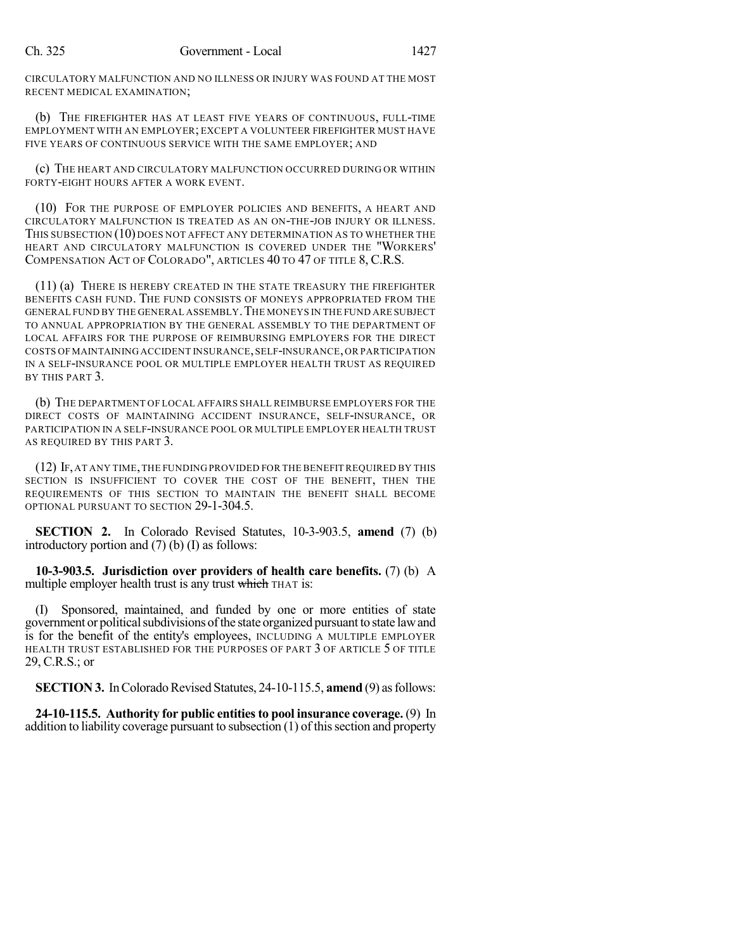CIRCULATORY MALFUNCTION AND NO ILLNESS OR INJURY WAS FOUND AT THE MOST RECENT MEDICAL EXAMINATION;

(b) THE FIREFIGHTER HAS AT LEAST FIVE YEARS OF CONTINUOUS, FULL-TIME EMPLOYMENT WITH AN EMPLOYER; EXCEPT A VOLUNTEER FIREFIGHTER MUST HAVE FIVE YEARS OF CONTINUOUS SERVICE WITH THE SAME EMPLOYER: AND

(c) THE HEART AND CIRCULATORY MALFUNCTION OCCURRED DURING OR WITHIN FORTY-EIGHT HOURS AFTER A WORK EVENT.

(10) FOR THE PURPOSE OF EMPLOYER POLICIES AND BENEFITS, A HEART AND CIRCULATORY MALFUNCTION IS TREATED AS AN ON-THE-JOB INJURY OR ILLNESS. THIS SUBSECTION (10) DOES NOT AFFECT ANY DETERMINATION AS TO WHETHER THE HEART AND CIRCULATORY MALFUNCTION IS COVERED UNDER THE "WORKERS' COMPENSATION ACT OF COLORADO", ARTICLES 40 TO 47 OF TITLE 8, C.R.S.

(11) (a) THERE IS HEREBY CREATED IN THE STATE TREASURY THE FIREFIGHTER BENEFITS CASH FUND. THE FUND CONSISTS OF MONEYS APPROPRIATED FROM THE GENERAL FUND BY THE GENERAL ASSEMBLY. THE MONEYS IN THE FUND ARE SUBJECT TO ANNUAL APPROPRIATION BY THE GENERAL ASSEMBLY TO THE DEPARTMENT OF LOCAL AFFAIRS FOR THE PURPOSE OF REIMBURSING EMPLOYERS FOR THE DIRECT COSTS OFMAINTAINING ACCIDENT INSURANCE,SELF-INSURANCE,OR PARTICIPATION IN A SELF-INSURANCE POOL OR MULTIPLE EMPLOYER HEALTH TRUST AS REQUIRED BY THIS PART 3.

(b) THE DEPARTMENT OF LOCAL AFFAIRS SHALL REIMBURSE EMPLOYERS FOR THE DIRECT COSTS OF MAINTAINING ACCIDENT INSURANCE, SELF-INSURANCE, OR PARTICIPATION IN A SELF-INSURANCE POOL OR MULTIPLE EMPLOYER HEALTH TRUST AS REQUIRED BY THIS PART 3.

(12) IF,AT ANY TIME,THE FUNDING PROVIDED FOR THE BENEFIT REQUIRED BY THIS SECTION IS INSUFFICIENT TO COVER THE COST OF THE BENEFIT, THEN THE REQUIREMENTS OF THIS SECTION TO MAINTAIN THE BENEFIT SHALL BECOME OPTIONAL PURSUANT TO SECTION 29-1-304.5.

**SECTION 2.** In Colorado Revised Statutes, 10-3-903.5, **amend** (7) (b) introductory portion and (7) (b) (I) as follows:

**10-3-903.5. Jurisdiction over providers of health care benefits.** (7) (b) A multiple employer health trust is any trust which THAT is:

(I) Sponsored, maintained, and funded by one or more entities of state government or political subdivisions of the state organized pursuant to state law and is for the benefit of the entity's employees, INCLUDING A MULTIPLE EMPLOYER HEALTH TRUST ESTABLISHED FOR THE PURPOSES OF PART 3 OF ARTICLE 5 OF TITLE 29, C.R.S.; or

**SECTION 3.** In Colorado Revised Statutes, 24-10-115.5, **amend** (9) as follows:

**24-10-115.5. Authority for public entitiesto pool insurance coverage.** (9) In addition to liability coverage pursuant to subsection  $(1)$  of this section and property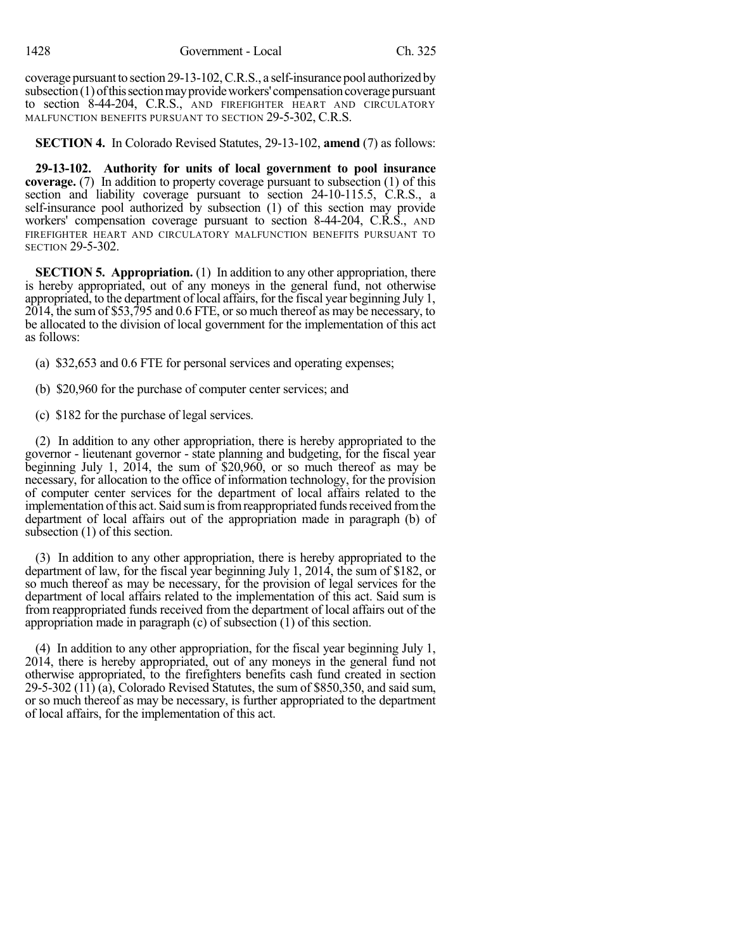coverage pursuant to section 29-13-102, C.R.S., a self-insurance pool authorized by  $subsection(1)$  of this section may provide workers' compensation coverage pursuant to section 8-44-204, C.R.S., AND FIREFIGHTER HEART AND CIRCULATORY MALFUNCTION BENEFITS PURSUANT TO SECTION 29-5-302, C.R.S.

**SECTION 4.** In Colorado Revised Statutes, 29-13-102, **amend** (7) as follows:

**29-13-102. Authority for units of local government to pool insurance coverage.** (7) In addition to property coverage pursuant to subsection (1) of this section and liability coverage pursuant to section 24-10-115.5, C.R.S., a self-insurance pool authorized by subsection (1) of this section may provide workers' compensation coverage pursuant to section 8-44-204, C.R.S., AND FIREFIGHTER HEART AND CIRCULATORY MALFUNCTION BENEFITS PURSUANT TO SECTION 29-5-302.

**SECTION 5. Appropriation.** (1) In addition to any other appropriation, there is hereby appropriated, out of any moneys in the general fund, not otherwise appropriated, to the department of local affairs, for the fiscal year beginning July 1, 2014, the sum of \$53,795 and 0.6 FTE, or so much thereof as may be necessary, to be allocated to the division of local government for the implementation of this act as follows:

- (a) \$32,653 and 0.6 FTE for personal services and operating expenses;
- (b) \$20,960 for the purchase of computer center services; and
- (c) \$182 for the purchase of legal services.

(2) In addition to any other appropriation, there is hereby appropriated to the governor - lieutenant governor - state planning and budgeting, for the fiscal year beginning July 1, 2014, the sum of \$20,960, or so much thereof as may be necessary, for allocation to the office of information technology, for the provision of computer center services for the department of local affairs related to the implementation of this act. Said sum is from reappropriated funds received from the department of local affairs out of the appropriation made in paragraph (b) of subsection (1) of this section.

(3) In addition to any other appropriation, there is hereby appropriated to the department of law, for the fiscal year beginning July 1, 2014, the sum of \$182, or so much thereof as may be necessary, for the provision of legal services for the department of local affairs related to the implementation of this act. Said sum is from reappropriated funds received from the department of local affairs out of the appropriation made in paragraph (c) of subsection (1) of this section.

(4) In addition to any other appropriation, for the fiscal year beginning July 1, 2014, there is hereby appropriated, out of any moneys in the general fund not otherwise appropriated, to the firefighters benefits cash fund created in section 29-5-302 (11) (a), Colorado Revised Statutes, the sum of \$850,350, and said sum, or so much thereof as may be necessary, is further appropriated to the department of local affairs, for the implementation of this act.